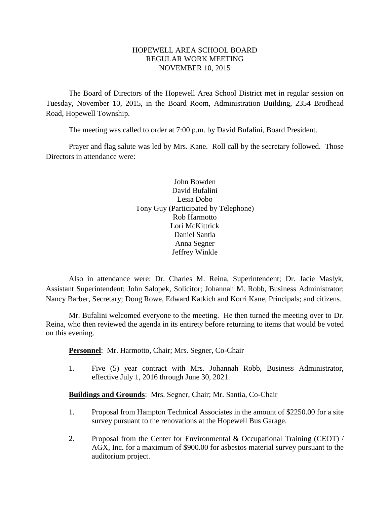# HOPEWELL AREA SCHOOL BOARD REGULAR WORK MEETING NOVEMBER 10, 2015

The Board of Directors of the Hopewell Area School District met in regular session on Tuesday, November 10, 2015, in the Board Room, Administration Building, 2354 Brodhead Road, Hopewell Township.

The meeting was called to order at 7:00 p.m. by David Bufalini, Board President.

Prayer and flag salute was led by Mrs. Kane. Roll call by the secretary followed. Those Directors in attendance were:

> John Bowden David Bufalini Lesia Dobo Tony Guy (Participated by Telephone) Rob Harmotto Lori McKittrick Daniel Santia Anna Segner Jeffrey Winkle

Also in attendance were: Dr. Charles M. Reina, Superintendent; Dr. Jacie Maslyk, Assistant Superintendent; John Salopek, Solicitor; Johannah M. Robb, Business Administrator; Nancy Barber, Secretary; Doug Rowe, Edward Katkich and Korri Kane, Principals; and citizens.

Mr. Bufalini welcomed everyone to the meeting. He then turned the meeting over to Dr. Reina, who then reviewed the agenda in its entirety before returning to items that would be voted on this evening.

**Personnel**: Mr. Harmotto, Chair; Mrs. Segner, Co-Chair

1. Five (5) year contract with Mrs. Johannah Robb, Business Administrator, effective July 1, 2016 through June 30, 2021.

**Buildings and Grounds**: Mrs. Segner, Chair; Mr. Santia, Co-Chair

- 1. Proposal from Hampton Technical Associates in the amount of \$2250.00 for a site survey pursuant to the renovations at the Hopewell Bus Garage.
- 2. Proposal from the Center for Environmental & Occupational Training (CEOT) / AGX, Inc. for a maximum of \$900.00 for asbestos material survey pursuant to the auditorium project.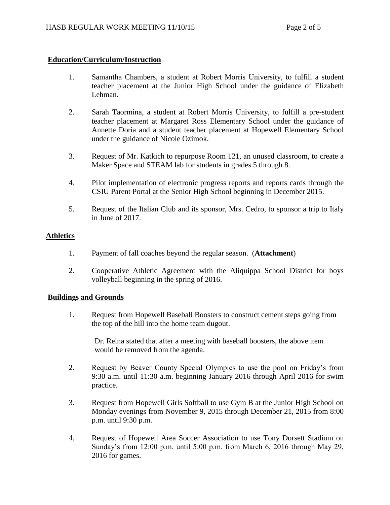# **Education/Curriculum/Instruction**

- 1. Samantha Chambers, a student at Robert Morris University, to fulfill a student teacher placement at the Junior High School under the guidance of Elizabeth Lehman.
- 2. Sarah Taormina, a student at Robert Morris University, to fulfill a pre-student teacher placement at Margaret Ross Elementary School under the guidance of Annette Doria and a student teacher placement at Hopewell Elementary School under the guidance of Nicole Ozimok.
- 3. Request of Mr. Katkich to repurpose Room 121, an unused classroom, to create a Maker Space and STEAM lab for students in grades 5 through 8.
- 4. Pilot implementation of electronic progress reports and reports cards through the CSIU Parent Portal at the Senior High School beginning in December 2015.
- 5. Request of the Italian Club and its sponsor, Mrs. Cedro, to sponsor a trip to Italy in June of 2017.

### **Athletics**

- 1. Payment of fall coaches beyond the regular season. (**Attachment**)
- 2. Cooperative Athletic Agreement with the Aliquippa School District for boys volleyball beginning in the spring of 2016.

### **Buildings and Grounds**

1. Request from Hopewell Baseball Boosters to construct cement steps going from the top of the hill into the home team dugout.

Dr. Reina stated that after a meeting with baseball boosters, the above item would be removed from the agenda.

- 2. Request by Beaver County Special Olympics to use the pool on Friday's from 9:30 a.m. until 11:30 a.m. beginning January 2016 through April 2016 for swim practice.
- 3. Request from Hopewell Girls Softball to use Gym B at the Junior High School on Monday evenings from November 9, 2015 through December 21, 2015 from 8:00 p.m. until 9:30 p.m.
- 4. Request of Hopewell Area Soccer Association to use Tony Dorsett Stadium on Sunday's from 12:00 p.m. until 5:00 p.m. from March 6, 2016 through May 29, 2016 for games.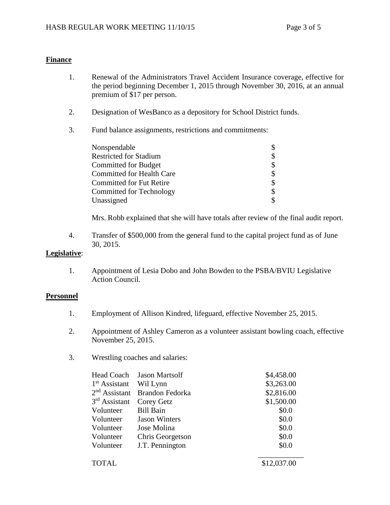## **Finance**

- 1. Renewal of the Administrators Travel Accident Insurance coverage, effective for the period beginning December 1, 2015 through November 30, 2016, at an annual premium of \$17 per person.
- 2. Designation of WesBanco as a depository for School District funds.
- 3. Fund balance assignments, restrictions and commitments:

| Nonspendable                     |  |
|----------------------------------|--|
| <b>Restricted for Stadium</b>    |  |
| Committed for Budget             |  |
| <b>Committed for Health Care</b> |  |
| <b>Committed for Fut Retire</b>  |  |
| Committed for Technology         |  |
| Unassigned                       |  |

Mrs. Robb explained that she will have totals after review of the final audit report.

4. Transfer of \$500,000 from the general fund to the capital project fund as of June 30, 2015.

# **Legislative**:

1. Appointment of Lesia Dobo and John Bowden to the PSBA/BVIU Legislative Action Council.

### **Personnel**

- 1. Employment of Allison Kindred, lifeguard, effective November 25, 2015.
- 2. Appointment of Ashley Cameron as a volunteer assistant bowling coach, effective November 25, 2015.
- 3. Wrestling coaches and salaries:

| Head Coach      | <b>Jason Martsolf</b> | \$4,458.00  |
|-----------------|-----------------------|-------------|
| $1st$ Assistant | Wil Lynn              | \$3,263.00  |
| $2nd$ Assistant | Brandon Fedorka       | \$2,816.00  |
| $3rd$ Assistant | Corey Getz            | \$1,500.00  |
| Volunteer       | <b>Bill Bain</b>      | \$0.0       |
| Volunteer       | <b>Jason Winters</b>  | \$0.0       |
| Volunteer       | Jose Molina           | \$0.0       |
| Volunteer       | Chris Georgetson      | \$0.0       |
| Volunteer       | J.T. Pennington       | \$0.0       |
| <b>TOTAL</b>    |                       | \$12,037.00 |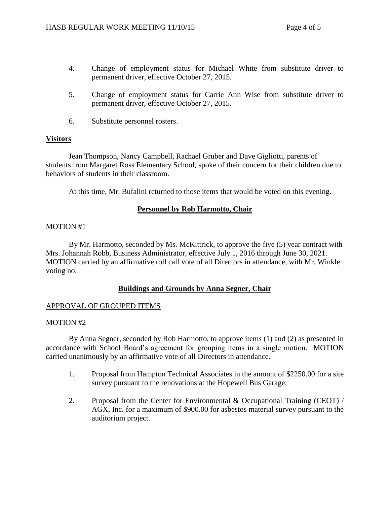- 4. Change of employment status for Michael White from substitute driver to permanent driver, effective October 27, 2015.
- 5. Change of employment status for Carrie Ann Wise from substitute driver to permanent driver, effective October 27, 2015.
- 6. Substitute personnel rosters.

### **Visitors**

Jean Thompson, Nancy Campbell, Rachael Gruber and Dave Gigliotti, parents of students from Margaret Ross Elementary School, spoke of their concern for their children due to behaviors of students in their classroom.

At this time, Mr. Bufalini returned to those items that would be voted on this evening.

### **Personnel by Rob Harmotto, Chair**

### MOTION #1

By Mr. Harmotto, seconded by Ms. McKittrick, to approve the five (5) year contract with Mrs. Johannah Robb, Business Administrator, effective July 1, 2016 through June 30, 2021. MOTION carried by an affirmative roll call vote of all Directors in attendance, with Mr. Winkle voting no.

### **Buildings and Grounds by Anna Segner, Chair**

### APPROVAL OF GROUPED ITEMS

### MOTION #2

By Anna Segner, seconded by Rob Harmotto, to approve items (1) and (2) as presented in accordance with School Board's agreement for grouping items in a single motion. MOTION carried unanimously by an affirmative vote of all Directors in attendance.

- 1. Proposal from Hampton Technical Associates in the amount of \$2250.00 for a site survey pursuant to the renovations at the Hopewell Bus Garage.
- 2. Proposal from the Center for Environmental & Occupational Training (CEOT) / AGX, Inc. for a maximum of \$900.00 for asbestos material survey pursuant to the auditorium project.